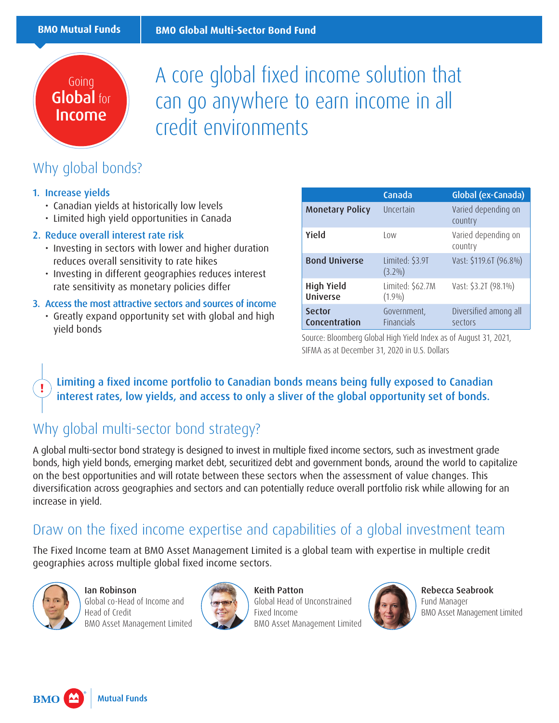## Going Global for Income

A core global fixed income solution that can go anywhere to earn income in all credit environments

## Why global bonds?

#### 1. Increase yields

- Canadian yields at historically low levels
- Limited high yield opportunities in Canada

#### 2. Reduce overall interest rate risk

- Investing in sectors with lower and higher duration reduces overall sensitivity to rate hikes
- Investing in different geographies reduces interest rate sensitivity as monetary policies differ

#### 3. Access the most attractive sectors and sources of income

• Greatly expand opportunity set with global and high yield bonds

|                                      | Canada                           | Global (ex-Canada)               |  |
|--------------------------------------|----------------------------------|----------------------------------|--|
| <b>Monetary Policy</b>               | Uncertain                        | Varied depending on<br>country   |  |
| Yield                                | l ow                             | Varied depending on<br>country   |  |
| <b>Bond Universe</b>                 | Limited: \$3.9T<br>$(3.2\%)$     | Vast: \$119.6T (96.8%)           |  |
| <b>High Yield</b><br><b>Universe</b> | Limited: \$62.7M<br>$(1.9\%)$    | Vast: \$3.2T (98.1%)             |  |
| <b>Sector</b><br>Concentration       | Government,<br><b>Financials</b> | Diversified among all<br>sectors |  |

Source: Bloomberg Global High Yield Index as of August 31, 2021, SIFMA as at December 31, 2020 in U.S. Dollars

**!** Limiting a fixed income portfolio to Canadian bonds means being fully exposed to Canadian interest rates, low yields, and access to only a sliver of the global opportunity set of bonds.

## Why global multi-sector bond strategy?

A global multi-sector bond strategy is designed to invest in multiple fixed income sectors, such as investment grade bonds, high yield bonds, emerging market debt, securitized debt and government bonds, around the world to capitalize on the best opportunities and will rotate between these sectors when the assessment of value changes. This diversification across geographies and sectors and can potentially reduce overall portfolio risk while allowing for an increase in yield.

### Draw on the fixed income expertise and capabilities of a global investment team

The Fixed Income team at BMO Asset Management Limited is a global team with expertise in multiple credit geographies across multiple global fixed income sectors.



Ian Robinson Global co-Head of Income and Head of Credit BMO Asset Management Limited



Keith Patton Global Head of Unconstrained Fixed Income BMO Asset Management Limited



Rebecca Seabrook Fund Manager BMO Asset Management Limited